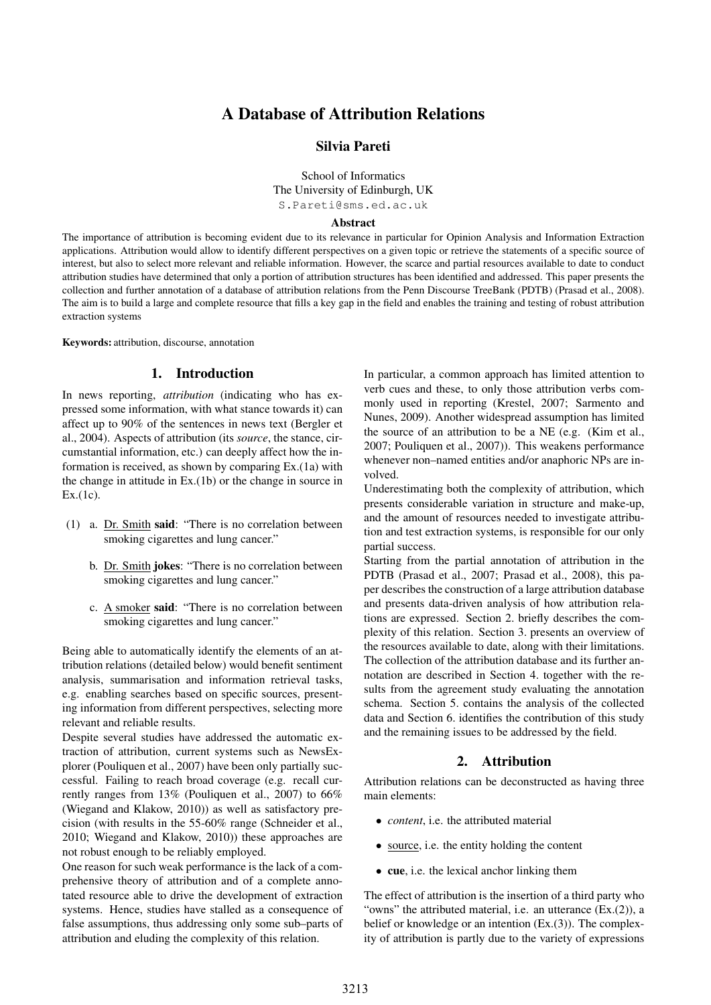# A Database of Attribution Relations

# Silvia Pareti

School of Informatics The University of Edinburgh, UK S.Pareti@sms.ed.ac.uk

#### Abstract

The importance of attribution is becoming evident due to its relevance in particular for Opinion Analysis and Information Extraction applications. Attribution would allow to identify different perspectives on a given topic or retrieve the statements of a specific source of interest, but also to select more relevant and reliable information. However, the scarce and partial resources available to date to conduct attribution studies have determined that only a portion of attribution structures has been identified and addressed. This paper presents the collection and further annotation of a database of attribution relations from the Penn Discourse TreeBank (PDTB) (Prasad et al., 2008). The aim is to build a large and complete resource that fills a key gap in the field and enables the training and testing of robust attribution extraction systems

Keywords: attribution, discourse, annotation

#### 1. Introduction

In news reporting, *attribution* (indicating who has expressed some information, with what stance towards it) can affect up to 90% of the sentences in news text (Bergler et al., 2004). Aspects of attribution (its *source*, the stance, circumstantial information, etc.) can deeply affect how the information is received, as shown by comparing Ex.(1a) with the change in attitude in Ex.(1b) or the change in source in Ex.(1c).

- (1) a. Dr. Smith said: "There is no correlation between smoking cigarettes and lung cancer."
	- b. Dr. Smith jokes: "There is no correlation between smoking cigarettes and lung cancer."
	- c. A smoker said: "There is no correlation between smoking cigarettes and lung cancer."

Being able to automatically identify the elements of an attribution relations (detailed below) would benefit sentiment analysis, summarisation and information retrieval tasks, e.g. enabling searches based on specific sources, presenting information from different perspectives, selecting more relevant and reliable results.

Despite several studies have addressed the automatic extraction of attribution, current systems such as NewsExplorer (Pouliquen et al., 2007) have been only partially successful. Failing to reach broad coverage (e.g. recall currently ranges from 13% (Pouliquen et al., 2007) to 66% (Wiegand and Klakow, 2010)) as well as satisfactory precision (with results in the 55-60% range (Schneider et al., 2010; Wiegand and Klakow, 2010)) these approaches are not robust enough to be reliably employed.

One reason for such weak performance is the lack of a comprehensive theory of attribution and of a complete annotated resource able to drive the development of extraction systems. Hence, studies have stalled as a consequence of false assumptions, thus addressing only some sub–parts of attribution and eluding the complexity of this relation.

In particular, a common approach has limited attention to verb cues and these, to only those attribution verbs commonly used in reporting (Krestel, 2007; Sarmento and Nunes, 2009). Another widespread assumption has limited the source of an attribution to be a NE (e.g. (Kim et al., 2007; Pouliquen et al., 2007)). This weakens performance whenever non–named entities and/or anaphoric NPs are involved.

Underestimating both the complexity of attribution, which presents considerable variation in structure and make-up, and the amount of resources needed to investigate attribution and test extraction systems, is responsible for our only partial success.

Starting from the partial annotation of attribution in the PDTB (Prasad et al., 2007; Prasad et al., 2008), this paper describes the construction of a large attribution database and presents data-driven analysis of how attribution relations are expressed. Section 2. briefly describes the complexity of this relation. Section 3. presents an overview of the resources available to date, along with their limitations. The collection of the attribution database and its further annotation are described in Section 4. together with the results from the agreement study evaluating the annotation schema. Section 5. contains the analysis of the collected data and Section 6. identifies the contribution of this study and the remaining issues to be addressed by the field.

# 2. Attribution

Attribution relations can be deconstructed as having three main elements:

- *• content*, i.e. the attributed material
- source, i.e. the entity holding the content
- cue, i.e. the lexical anchor linking them

The effect of attribution is the insertion of a third party who "owns" the attributed material, i.e. an utterance (Ex.(2)), a belief or knowledge or an intention (Ex.(3)). The complexity of attribution is partly due to the variety of expressions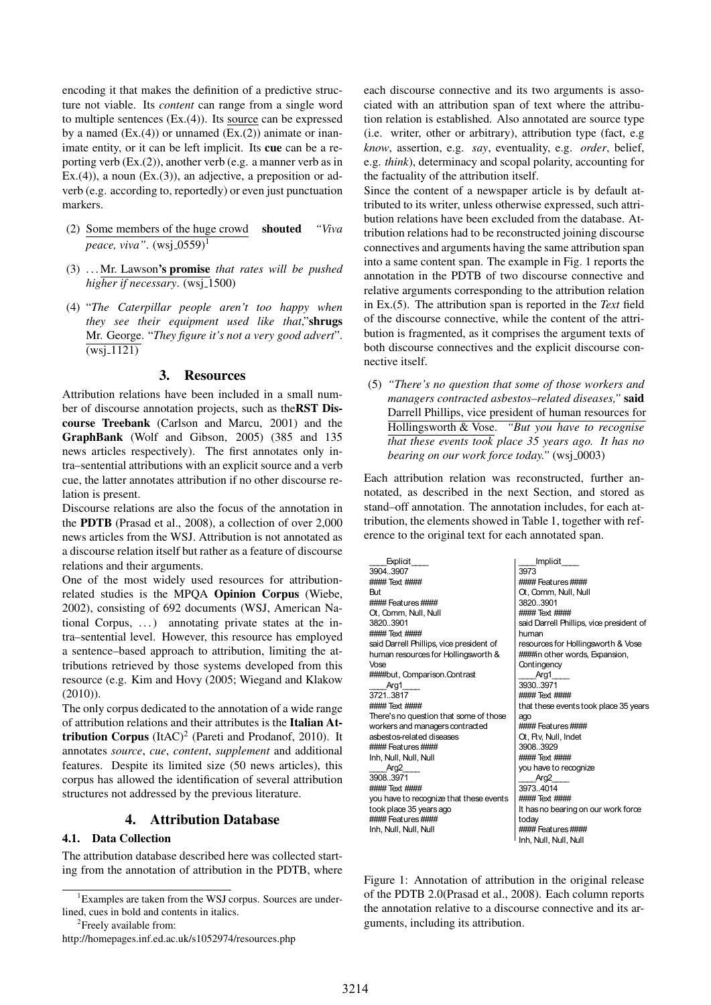encoding it that makes the definition of a predictive structure not viable. Its *content* can range from a single word to multiple sentences (Ex.(4)). Its source can be expressed by a named  $(Ex.(4))$  or unnamed  $(Ex.(2))$  animate or inanimate entity, or it can be left implicit. Its cue can be a reporting verb (Ex.(2)), another verb (e.g. a manner verb as in Ex.(4)), a noun  $(Ex.(3))$ , an adjective, a preposition or adverb (e.g. according to, reportedly) or even just punctuation markers.

- (2) Some members of the huge crowd shouted *"Viva peace, viva*". (wsi 0559)<sup>1</sup>
- (3) . . . Mr. Lawson's promise *that rates will be pushed higher if necessary.* (wsj<sub>-</sub>1500)
- (4) "*The Caterpillar people aren't too happy when they see their equipment used like that*,"shrugs Mr. George. "*They figure it's not a very good advert*".  $\overline{\text{(ws)}_1 1121)}$

## 3. Resources

Attribution relations have been included in a small number of discourse annotation projects, such as theRST Discourse Treebank (Carlson and Marcu, 2001) and the GraphBank (Wolf and Gibson, 2005) (385 and 135 news articles respectively). The first annotates only intra–sentential attributions with an explicit source and a verb cue, the latter annotates attribution if no other discourse relation is present.

Discourse relations are also the focus of the annotation in the PDTB (Prasad et al., 2008), a collection of over 2,000 news articles from the WSJ. Attribution is not annotated as a discourse relation itself but rather as a feature of discourse relations and their arguments.

One of the most widely used resources for attributionrelated studies is the MPQA Opinion Corpus (Wiebe, 2002), consisting of 692 documents (WSJ, American National Corpus, ...) annotating private states at the intra–sentential level. However, this resource has employed a sentence–based approach to attribution, limiting the attributions retrieved by those systems developed from this resource (e.g. Kim and Hovy (2005; Wiegand and Klakow (2010)).

The only corpus dedicated to the annotation of a wide range of attribution relations and their attributes is the Italian Attribution Corpus  $(ItAC)^2$  (Pareti and Prodanof, 2010). It annotates *source*, *cue*, *content*, *supplement* and additional features. Despite its limited size (50 news articles), this corpus has allowed the identification of several attribution structures not addressed by the previous literature.

## 4. Attribution Database

## 4.1. Data Collection

The attribution database described here was collected starting from the annotation of attribution in the PDTB, where

<sup>2</sup>Freely available from:

each discourse connective and its two arguments is associated with an attribution span of text where the attribution relation is established. Also annotated are source type (i.e. writer, other or arbitrary), attribution type (fact, e.g *know*, assertion, e.g. *say*, eventuality, e.g. *order*, belief, e.g. *think*), determinacy and scopal polarity, accounting for the factuality of the attribution itself.

Since the content of a newspaper article is by default attributed to its writer, unless otherwise expressed, such attribution relations have been excluded from the database. Attribution relations had to be reconstructed joining discourse connectives and arguments having the same attribution span into a same content span. The example in Fig. 1 reports the annotation in the PDTB of two discourse connective and relative arguments corresponding to the attribution relation in Ex.(5). The attribution span is reported in the *Text* field of the discourse connective, while the content of the attribution is fragmented, as it comprises the argument texts of both discourse connectives and the explicit discourse connective itself.

(5) *"There's no question that some of those workers and managers contracted asbestos–related diseases,"* said Darrell Phillips, vice president of human resources for Hollingsworth & Vose. *"But you have to recognise that these events took place 35 years ago. It has no bearing on our work force today.*" (wsj\_0003)

Each attribution relation was reconstructed, further annotated, as described in the next Section, and stored as stand–off annotation. The annotation includes, for each attribution, the elements showed in Table 1, together with reference to the original text for each annotated span.

| Explicit                                 | Implicit                                 |  |  |
|------------------------------------------|------------------------------------------|--|--|
| 3904.3907                                | 3973                                     |  |  |
| #### Text ####                           | #### Features####                        |  |  |
| <b>But</b>                               | Ot, Comm, Null, Null                     |  |  |
| #### Features####                        | 3820.3901                                |  |  |
| Ot, Comm, Null, Null                     | #### Text ####                           |  |  |
| 3820.3901                                | said Darrell Phillips, vice president of |  |  |
| #### Text ####                           | human                                    |  |  |
| said Darrell Phillips, vice president of | resources for Hollingsworth & Vose       |  |  |
| human resources for Hollingsworth &      | ####in other words, Expansion,           |  |  |
| Vose                                     | Contingency                              |  |  |
| ####but, Comparison.Contrast             | Arg1                                     |  |  |
| Arg1                                     | 3930.3971                                |  |  |
| 3721.3817                                | #### Text ####                           |  |  |
| #### Text ####                           | that these events took place 35 years    |  |  |
| There's no question that some of those   | aqo                                      |  |  |
| workers and managers contracted          | #### Features####                        |  |  |
| asbestos-related diseases                | Ot, Ftv, Null, Indet                     |  |  |
| #### Features####                        | 3908.3929                                |  |  |
| Inh, Null, Null, Null                    | #### Text ####                           |  |  |
| Arg2                                     | you have to recognize                    |  |  |
| 3908.3971                                | Arg2                                     |  |  |
| #### Text ####                           | 3973.4014                                |  |  |
| you have to recognize that these events  | #### Text ####                           |  |  |
| took place 35 years ago                  | It has no bearing on our work force      |  |  |
| #### Features####                        | today                                    |  |  |
| Inh, Null, Null, Null                    | #### Features####                        |  |  |
|                                          | Inh, Null, Null, Null                    |  |  |

Figure 1: Annotation of attribution in the original release of the PDTB 2.0(Prasad et al., 2008). Each column reports the annotation relative to a discourse connective and its arguments, including its attribution.

<sup>&</sup>lt;sup>1</sup>Examples are taken from the WSJ corpus. Sources are underlined, cues in bold and contents in italics.

http://homepages.inf.ed.ac.uk/s1052974/resources.php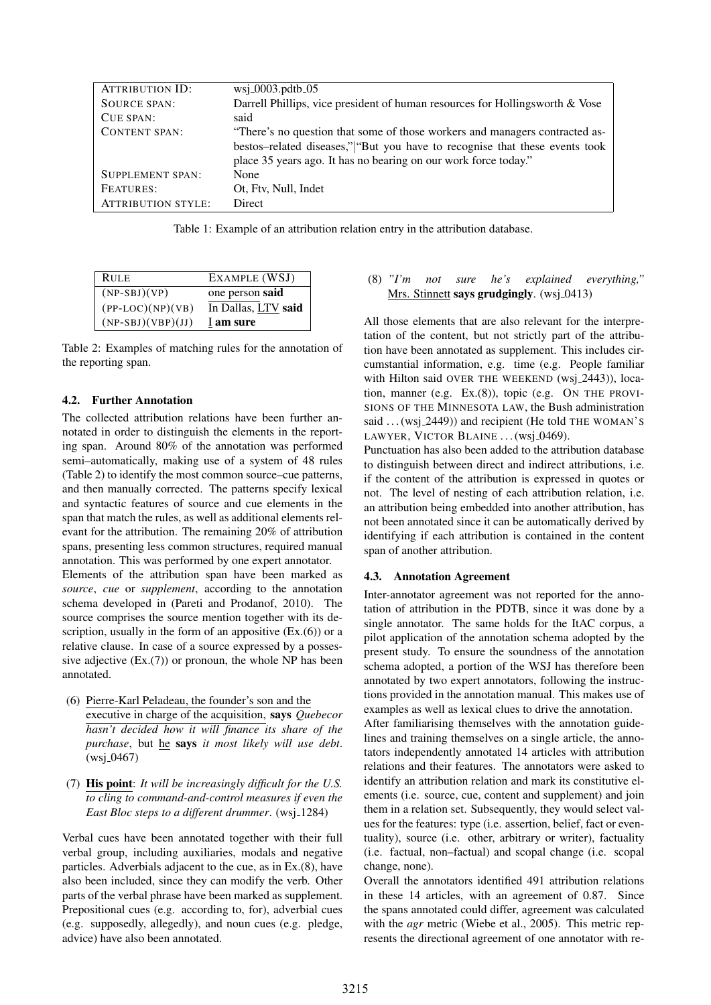| <b>ATTRIBUTION ID:</b>    | $wsj_0003.pdf$ .pdtb $-05$                                                     |
|---------------------------|--------------------------------------------------------------------------------|
| <b>SOURCE SPAN:</b>       | Darrell Phillips, vice president of human resources for Hollingsworth $& Vose$ |
| CUE SPAN:                 | said                                                                           |
| <b>CONTENT SPAN:</b>      | "There's no question that some of those workers and managers contracted as-    |
|                           | bestos-related diseases," "But you have to recognise that these events took    |
|                           | place 35 years ago. It has no bearing on our work force today."                |
| <b>SUPPLEMENT SPAN:</b>   | None                                                                           |
| FEATURES:                 | Ot, Ftv, Null, Indet                                                           |
| <b>ATTRIBUTION STYLE:</b> | Direct                                                                         |

Table 1: Example of an attribution relation entry in the attribution database.

| <b>RULE</b>         | EXAMPLE (WSJ)       |
|---------------------|---------------------|
| $(NP-SBJ)(VP)$      | one person said     |
| $(PP-LOC)(NP)(VB)$  | In Dallas, LTV said |
| $(NP-SBJ)(VBP)(JJ)$ | I am sure           |

Table 2: Examples of matching rules for the annotation of the reporting span.

## 4.2. Further Annotation

The collected attribution relations have been further annotated in order to distinguish the elements in the reporting span. Around 80% of the annotation was performed semi–automatically, making use of a system of 48 rules (Table 2) to identify the most common source–cue patterns, and then manually corrected. The patterns specify lexical and syntactic features of source and cue elements in the span that match the rules, as well as additional elements relevant for the attribution. The remaining 20% of attribution spans, presenting less common structures, required manual annotation. This was performed by one expert annotator.

Elements of the attribution span have been marked as *source*, *cue* or *supplement*, according to the annotation schema developed in (Pareti and Prodanof, 2010). The source comprises the source mention together with its description, usually in the form of an appositive (Ex.(6)) or a relative clause. In case of a source expressed by a possessive adjective  $(Ex.(7))$  or pronoun, the whole NP has been annotated.

- (6) Pierre-Karl Peladeau, the founder's son and the executive in charge of the acquisition, says *Quebecor hasn't decided how it will finance its share of the purchase*, but he says *it most likely will use debt*.  $(wsj_0467)$
- (7) His point: *It will be increasingly difficult for the U.S. to cling to command-and-control measures if even the East Bloc steps to a different drummer.* (wsj<sub>-1284)</sub>

Verbal cues have been annotated together with their full verbal group, including auxiliaries, modals and negative particles. Adverbials adjacent to the cue, as in Ex.(8), have also been included, since they can modify the verb. Other parts of the verbal phrase have been marked as supplement. Prepositional cues (e.g. according to, for), adverbial cues (e.g. supposedly, allegedly), and noun cues (e.g. pledge, advice) have also been annotated.

## (8) *"I'm not sure he's explained everything,"* Mrs. Stinnett says grudgingly. (wsj.0413)

All those elements that are also relevant for the interpretation of the content, but not strictly part of the attribution have been annotated as supplement. This includes circumstantial information, e.g. time (e.g. People familiar with Hilton said OVER THE WEEKEND (wsi 2443)), location, manner (e.g. Ex.(8)), topic (e.g. ON THE PROVI-SIONS OF THE MINNESOTA LAW, the Bush administration said  $\dots$  (wsj\_2449)) and recipient (He told THE WOMAN's LAWYER, VICTOR BLAINE ... (wsj\_0469).

Punctuation has also been added to the attribution database to distinguish between direct and indirect attributions, i.e. if the content of the attribution is expressed in quotes or not. The level of nesting of each attribution relation, i.e. an attribution being embedded into another attribution, has not been annotated since it can be automatically derived by identifying if each attribution is contained in the content span of another attribution.

### 4.3. Annotation Agreement

Inter-annotator agreement was not reported for the annotation of attribution in the PDTB, since it was done by a single annotator. The same holds for the ItAC corpus, a pilot application of the annotation schema adopted by the present study. To ensure the soundness of the annotation schema adopted, a portion of the WSJ has therefore been annotated by two expert annotators, following the instructions provided in the annotation manual. This makes use of examples as well as lexical clues to drive the annotation.

After familiarising themselves with the annotation guidelines and training themselves on a single article, the annotators independently annotated 14 articles with attribution relations and their features. The annotators were asked to identify an attribution relation and mark its constitutive elements (i.e. source, cue, content and supplement) and join them in a relation set. Subsequently, they would select values for the features: type (i.e. assertion, belief, fact or eventuality), source (i.e. other, arbitrary or writer), factuality (i.e. factual, non–factual) and scopal change (i.e. scopal change, none).

Overall the annotators identified 491 attribution relations in these 14 articles, with an agreement of 0.87. Since the spans annotated could differ, agreement was calculated with the *agr* metric (Wiebe et al., 2005). This metric represents the directional agreement of one annotator with re-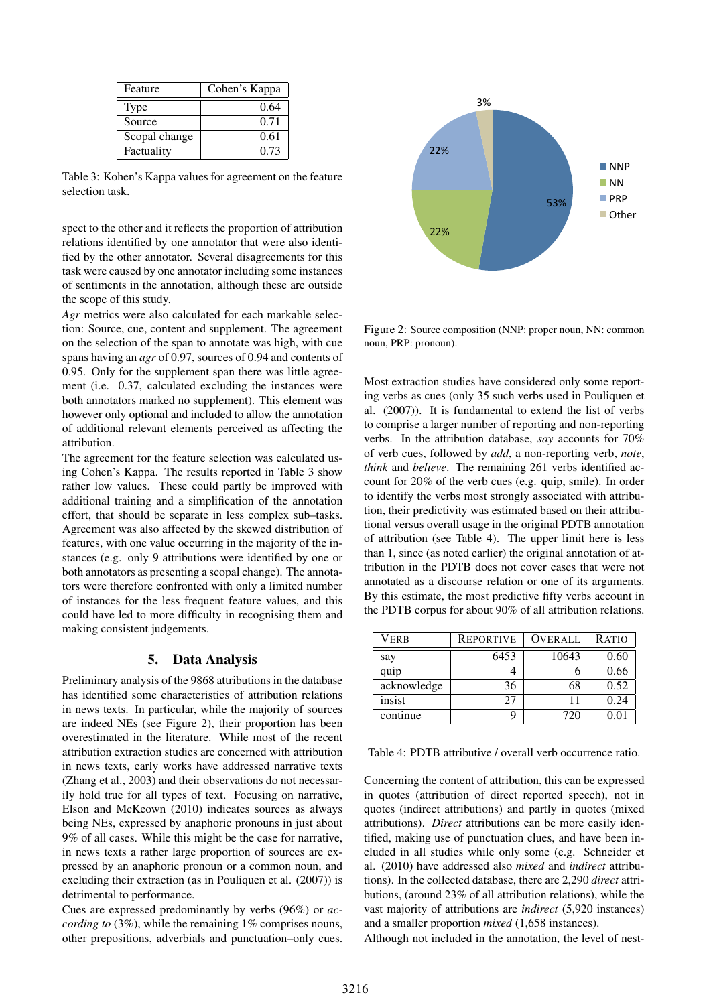| Feature       | Cohen's Kappa |
|---------------|---------------|
| <b>Type</b>   | 0.64          |
| Source        | 0.71          |
| Scopal change | 0.61          |
| Factuality    | 0.73          |

Table 3: Kohen's Kappa values for agreement on the feature selection task.

spect to the other and it reflects the proportion of attribution relations identified by one annotator that were also identified by the other annotator. Several disagreements for this task were caused by one annotator including some instances of sentiments in the annotation, although these are outside the scope of this study.

*Agr* metrics were also calculated for each markable selection: Source, cue, content and supplement. The agreement on the selection of the span to annotate was high, with cue spans having an *agr* of 0.97, sources of 0.94 and contents of 0.95. Only for the supplement span there was little agreement (i.e. 0.37, calculated excluding the instances were both annotators marked no supplement). This element was however only optional and included to allow the annotation of additional relevant elements perceived as affecting the attribution.

The agreement for the feature selection was calculated using Cohen's Kappa. The results reported in Table 3 show rather low values. These could partly be improved with additional training and a simplification of the annotation effort, that should be separate in less complex sub–tasks. Agreement was also affected by the skewed distribution of features, with one value occurring in the majority of the instances (e.g. only 9 attributions were identified by one or both annotators as presenting a scopal change). The annotators were therefore confronted with only a limited number of instances for the less frequent feature values, and this could have led to more difficulty in recognising them and making consistent judgements.

### 5. Data Analysis

Preliminary analysis of the 9868 attributions in the database has identified some characteristics of attribution relations in news texts. In particular, while the majority of sources are indeed NEs (see Figure 2), their proportion has been overestimated in the literature. While most of the recent attribution extraction studies are concerned with attribution in news texts, early works have addressed narrative texts (Zhang et al., 2003) and their observations do not necessarily hold true for all types of text. Focusing on narrative, Elson and McKeown (2010) indicates sources as always being NEs, expressed by anaphoric pronouns in just about 9% of all cases. While this might be the case for narrative, in news texts a rather large proportion of sources are expressed by an anaphoric pronoun or a common noun, and excluding their extraction (as in Pouliquen et al. (2007)) is detrimental to performance.

Cues are expressed predominantly by verbs (96%) or *according to* (3%), while the remaining 1% comprises nouns, other prepositions, adverbials and punctuation–only cues.



Figure 2: Source composition (NNP: proper noun, NN: common noun, PRP: pronoun).

Most extraction studies have considered only some reporting verbs as cues (only 35 such verbs used in Pouliquen et al. (2007)). It is fundamental to extend the list of verbs to comprise a larger number of reporting and non-reporting verbs. In the attribution database, *say* accounts for 70% of verb cues, followed by *add*, a non-reporting verb, *note*, *think* and *believe*. The remaining 261 verbs identified account for 20% of the verb cues (e.g. quip, smile). In order to identify the verbs most strongly associated with attribution, their predictivity was estimated based on their attributional versus overall usage in the original PDTB annotation of attribution (see Table 4). The upper limit here is less than 1, since (as noted earlier) the original annotation of attribution in the PDTB does not cover cases that were not annotated as a discourse relation or one of its arguments. By this estimate, the most predictive fifty verbs account in the PDTB corpus for about 90% of all attribution relations.

| Verb        | REPORTIVE | <b>OVERALL</b> | RATIO |
|-------------|-----------|----------------|-------|
| say         | 6453      | 10643          | 0.60  |
| quip        |           |                | 0.66  |
| acknowledge | 36        | 68             | 0.52  |
| insist      | 27        | 11             | 0.24  |
| continue    |           | 720            | 0.01  |

#### Table 4: PDTB attributive / overall verb occurrence ratio.

Concerning the content of attribution, this can be expressed in quotes (attribution of direct reported speech), not in quotes (indirect attributions) and partly in quotes (mixed attributions). *Direct* attributions can be more easily identified, making use of punctuation clues, and have been included in all studies while only some (e.g. Schneider et al. (2010) have addressed also *mixed* and *indirect* attributions). In the collected database, there are 2,290 *direct* attributions, (around 23% of all attribution relations), while the vast majority of attributions are *indirect* (5,920 instances) and a smaller proportion *mixed* (1,658 instances).

Although not included in the annotation, the level of nest-